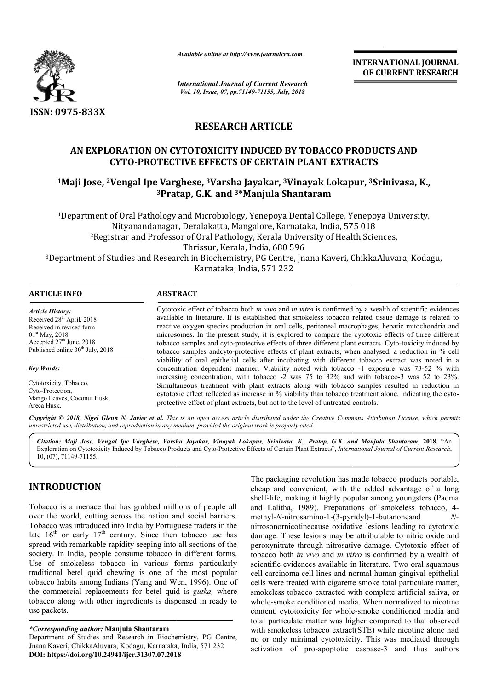

*Available online at http://www.journalcra.com*

*International Journal of Current Research Vol. 10, Issue, 07, pp.71149-71155, July, 2018*

**INTERNATIONAL JOURNAL OF CURRENT RESEARCH**

# **RESEARCH ARTICLE**

# **AN EXPLORATION ON CYTOTOXICITY INDUCED BY TOBACCO PRODUCTS AND CYTO-PROTECTIVE EFFECTS OF CERTAIN PLANT EXTRACTS** AN EXPLORATION ON CYTOTOXICITY INDUCED BY TOBACCO PRODUCTS AND<br>CYTO-PROTECTIVE EFFECTS OF CERTAIN PLANT EXTRACTS<br><sup>1</sup>Maji Jose, <sup>2</sup>Vengal Ipe Varghese, <sup>3</sup>Varsha Jayakar, <sup>3</sup>Vinayak Lokapur, <sup>3</sup>Srinivasa, K.,

# **3Pratap, G.K. and Pratap, 3\*Manjula Shantaram**

1Department of Oral Pathology and Microbiology, Yenepoya Dental College, Yenepoya University, Department or Thrissur, Kerala, India, 680 596 Nityanandanagar, Deralakatta, Mangalore, Karnataka, India, 575 018 2Registrar and Professor of Oral Pathology, Kerala University of Health Sciences, <sup>3</sup>Department of Studies and Research in Biochemistry, PG Centre, Jnana Kaveri, ChikkaAluvara, Kodagu,<br>Karnataka, India, 571 232 nology and Microbiology, Yenepoya Dental College, Yenepoya University,<br>anagar, Deralakatta, Mangalore, Karnataka, India, 575 018<br>rofessor of Oral Pathology, Kerala University of Health Sciences,<br>Thrissur, Kerala, India, 68

| <b>ARTICLE INFO</b>                          | <b>ABSTRACT</b>                                                                                                                                                                                |
|----------------------------------------------|------------------------------------------------------------------------------------------------------------------------------------------------------------------------------------------------|
| <b>Article History:</b>                      | Cytotoxic effect of tobacco both <i>in vivo</i> and <i>in vitro</i> is confirmed by a wealth of scientific evidences                                                                           |
| Received 28 <sup>th</sup> April, 2018        | available in literature. It is established that smokeless tobacco related tissue damage is related to                                                                                          |
| Received in revised form                     | reactive oxygen species production in oral cells, peritoneal macrophages, hepatic mitochondria and                                                                                             |
| $01st$ May, 2018                             | microsomes. In the present study, it is explored to compare the cytotoxic effects of three different                                                                                           |
| Accepted $27th$ June, 2018                   | tobacco samples and cyto-protective effects of three different plant extracts. Cyto-toxicity induced by                                                                                        |
| Published online 30 <sup>th</sup> July, 2018 | tobacco samples andcyto-protective effects of plant extracts, when analysed, a reduction in % cell                                                                                             |
| <b>Key Words:</b>                            | viability of oral epithelial cells after incubating with different tobacco extract was noted in a<br>concentration dependent manner. Viability noted with tobacco -1 exposure was 73-52 % with |
| Cytotoxicity, Tobacco,                       | increasing concentration, with tobacco -2 was 75 to 32% and with tobacco-3 was 52 to 23%.                                                                                                      |
| Cyto-Protection.                             | Simultaneous treatment with plant extracts along with tobacco samples resulted in reduction in                                                                                                 |
| Mango Leaves, Coconut Husk,                  | cytotoxic effect reflected as increase in % viability than tobacco treatment alone, indicating the cyto-                                                                                       |
| Areca Husk.                                  | protective effect of plant extracts, but not to the level of untreated controls.                                                                                                               |

Copyright © 2018, Nigel Glenn N. Javier et al. This is an open access article distributed under the Creative Commons Attribution License, which permits *unrestricted use, distribution, and reproduction in any medium, provided the original work is properly cited.*

*Citation: Maji Jose, Vengal Ipe Varghese, Varsha Jayakar, Vinayak Lokapur, Srinivasa, K., Pratap, G.K. and Manjula Shantaram and Manjula* **, 2018.** "An Exploration on Cytotoxicity Induced by Tobacco Products and Cyto Cyto-Protective Effects of Certain Plant Extracts", *International Journal of Current Research International Current Research*, 10, (07), 71149-71155.

# **INTRODUCTION**

Tobacco is a menace that has grabbed millions of people all over the world, cutting across the nation and social barriers. Tobacco was introduced into India by Portuguese traders in the late  $16<sup>th</sup>$  or early  $17<sup>th</sup>$  century. Since then tobacco use has spread with remarkable rapidity seeping into all sections of the society. In India, people consume tobacco in different forms. Use of smokeless tobacco in various forms particularly traditional betel quid chewing is one of the most popular tobacco habits among Indians (Yang and Wen, 1996). One of the commercial replacements for betel quid is *gutka,* where tobacco along with other ingredients is dispensed in ready to use packets.

**roll and the second in the packaging revolution has made tobacco products portable,**<br>
shelf-life, making and convenient, with the added advantage of a long<br>
cutting across the nation and social barriers. methly-A-hitrosam The packaging revolution has made tobacco products portable, cheap and convenient, with the added advantage of a long shelf-life, making it highly popular among youngsters (Padma and Lalitha, 1989). Preparations of smokeless tobacco, 4methyl-*N*-nitrosamino-1-(3-pyridyl)-1-butanoneand *N*nitrosonornicotinecause oxidative lesions leading to cytotoxic damage. These lesions may be attributable to nitric oxide and peroxynitrate through nitrosative damage. Cytotoxic effect of tobacco both *in vivo* and *in vitro in vitro* is confirmed by a wealth of scientific evidences available in literature. Two oral squamous cell carcinoma cell lines and normal human gingival epithelial cells were treated with cigarette smoke total particulate matter, smokeless tobacco extracted with complete artificial saliva, or whole-smoke conditioned media. When normalized to nicotine content, cytotoxicity for whole-smoke conditioned media and total particulate matter was higher compared to that observed with smokeless tobacco extract(STE) while nicotine alone had no or only minimal cytotoxicity. This was mediated through with smokeless tobacco extract(STE) while nicotine alone had no or only minimal cytotoxicity. This was mediated through activation of pro-apoptotic caspase-3 and thus authors recinoma cell lines and normal human gingival epithelial<br>ere treated with cigarette smoke total particulate matter,<br>less tobacco extracted with complete artificial saliva, or<br>smoke conditioned media. When normalized to nic

*<sup>\*</sup>Corresponding author:* **Manjula Shantaram**

Department of Studies and Research in Biochemistry, PG Centre, Jnana Kaveri, ChikkaAluvara, Kodagu, Karnataka, India, 571 232 **DOI: https://doi.org/10.24941/ijcr.31307.07.2018**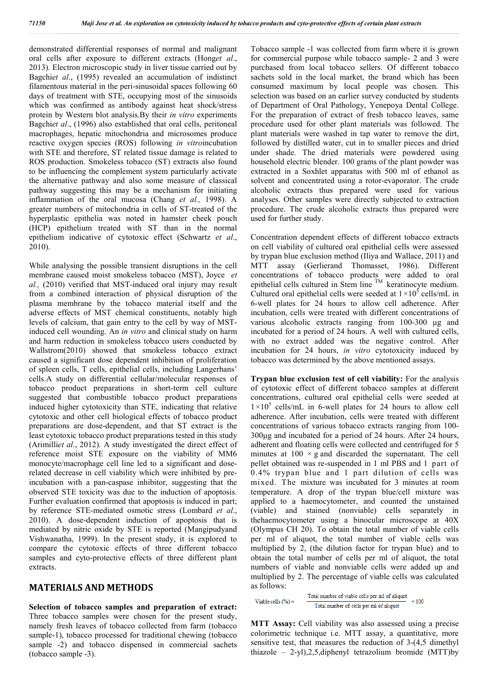demonstrated differential responses of normal and malignant oral cells after exposure to different extracts (Hong*et al*., 2013). Electron microscopic study in liver tissue carried out by Bagchi*et al*., (1995) revealed an accumulation of indistinct filamentous material in the peri-sinusoidal spaces following 60 days of treatment with STE, occupying most of the sinusoids which was confirmed as antibody against heat shock/stress protein by Western blot analysis.By their *in vitro* experiments Bagchi*et al*., (1996) also established that oral cells, peritoneal macrophages, hepatic mitochondria and microsomes produce reactive oxygen species (ROS) following *in vitro*incubation with STE and therefore, ST related tissue damage is related to ROS production. Smokeless tobacco (ST) extracts also found to be influencing the complement system particularly activate the alternative pathway and also some measure of classical pathway suggesting this may be a mechanism for initiating inflammation of the oral mucosa (Chang *et al.,* 1998). A greater numbers of mitochondria in cells of ST-treated of the hyperplastic epithelia was noted in hamster cheek pouch (HCP) epithelium treated with ST than in the normal epithelium indicative of cytotoxic effect (Schwartz *et al*., 2010).

While analysing the possible transient disruptions in the cell membrane caused moist smokeless tobacco (MST), Joyce *et al.,* (2010) verified that MST-induced oral injury may result from a combined interaction of physical disruption of the plasma membrane by the tobacco material itself and the adverse effects of MST chemical constituents, notably high levels of calcium, that gain entry to the cell by way of MSTinduced cell wounding. An *in vitro* and clinical study on harm and harm reduction in smokeless tobacco users conducted by Wallstrom(2010) showed that smokeless tobacco extract caused a significant dose dependent inhibition of proliferation of spleen cells, T cells, epithelial cells, including Langerhans' cells.A study on differential cellular/molecular responses of tobacco product preparations in short-term cell culture suggested that combustible tobacco product preparations induced higher cytotoxicity than STE, indicating that relative cytotoxic and other cell biological effects of tobacco product preparations are dose-dependent, and that ST extract is the least cytotoxic tobacco product preparations tested in this study (Arimilli*et al*., 2012). A study investigated the direct effect of reference moist STE exposure on the viability of MM6 monocyte/macrophage cell line led to a significant and doserelated decrease in cell viability which were inhibited by preincubation with a pan-caspase inhibitor, suggesting that the observed STE toxicity was due to the induction of apoptosis. Further evaluation confirmed that apoptosis is induced in part; by reference STE-mediated osmotic stress (Lombard *et al*., 2010). A dose-dependent induction of apoptosis that is mediated by nitric oxide by STE is reported (Mangipudyand Vishwanatha, 1999). In the present study, it is explored to compare the cytotoxic effects of three different tobacco samples and cyto-protective effects of three different plant extracts.

#### **MATERIALS AND METHODS**

**Selection of tobacco samples and preparation of extract:**  Three tobacco samples were chosen for the present study, namely fresh leaves of tobacco collected from farm (tobacco sample-1), tobacco processed for traditional chewing (tobacco sample -2) and tobacco dispensed in commercial sachets (tobacco sample -3).

Tobacco sample -1 was collected from farm where it is grown for commercial purpose while tobacco sample- 2 and 3 were purchased from local tobacco sellers. Of different tobacco sachets sold in the local market, the brand which has been consumed maximum by local people was chosen. This selection was based on an earlier survey conducted by students of Department of Oral Pathology, Yenepoya Dental College. For the preparation of extract of fresh tobacco leaves, same procedure used for other plant materials was followed. The plant materials were washed in tap water to remove the dirt, followed by distilled water, cut in to smaller pieces and dried under shade. The dried materials were powdered using household electric blender. 100 grams of the plant powder was extracted in a Soxhlet apparatus with 500 ml of ethanol as solvent and concentrated using a rotor-evaporator. The crude alcoholic extracts thus prepared were used for various analyses. Other samples were directly subjected to extraction procedure. The crude alcoholic extracts thus prepared were used for further study.

Concentration dependent effects of different tobacco extracts on cell viability of cultured oral epithelial cells were assessed by trypan blue exclusion method (Iliya and Wallace, 2011) and MTT assay (Gerlierand Thomasset, 1986). Different concentrations of tobacco products were added to oral epithelial cells cultured in Stem line  $<sup>TM</sup>$  keratinocyte medium.</sup> Cultured oral epithelial cells were seeded at  $1 \times 10^5$  cells/mL in 6-well plates for 24 hours to allow cell adherence. After incubation, cells were treated with different concentrations of various alcoholic extracts ranging from 100-300 μg and incubated for a period of 24 hours. A well with cultured cells, with no extract added was the negative control. After incubation for 24 hours, *in vitro* cytotoxicity induced by tobacco was determined by the above mentioned assays.

**Trypan blue exclusion test of cell viability:** For the analysis of cytotoxic effect of different tobacco samples at different concentrations, cultured oral epithelial cells were seeded at  $1 \times 10^5$  cells/mL in 6-well plates for 24 hours to allow cell adherence. After incubation, cells were treated with different concentrations of various tobacco extracts ranging from 100- 300μg and incubated for a period of 24 hours. After 24 hours, adherent and floating cells were collected and centrifuged for 5 minutes at  $100 \times g$  and discarded the supernatant. The cell pellet obtained was re-suspended in 1 ml PBS and 1 part of 0.4% trypan blue and 1 part dilution of cells was mixed. The mixture was incubated for 3 minutes at room temperature. A drop of the trypan blue/cell mixture was applied to a haemocytometer, and counted the unstained (viable) and stained (nonviable) cells separately in thehaemocytometer using a binocular microscope at 40X (Olympus CH 20). To obtain the total number of viable cells per ml of aliquot, the total number of viable cells was multiplied by 2, (the dilution factor for trypan blue) and to obtain the total number of cells per ml of aliquot, the total numbers of viable and nonviable cells were added up and multiplied by 2. The percentage of viable cells was calculated as follows:

Total number of viable cells per ml of aliquot Viable cells  $(% =$  $\times 100$ Total number of cells per ml of aliquot

**MTT Assay:** Cell viability was also assessed using a precise colorimetric technique i.e. MTT assay, a quantitative, more sensitive test, that measures the reduction of 3-(4,5 dimethyl thiazole – 2-yl),2,5,diphenyl tetrazolium bromide (MTT)by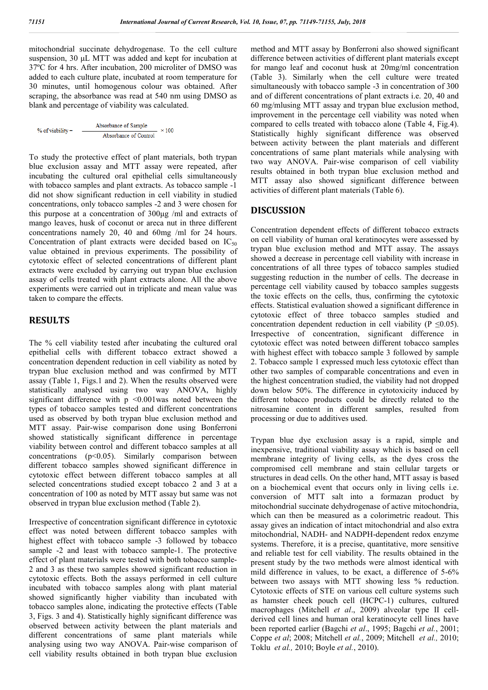mitochondrial succinate dehydrogenase. To the cell culture suspension, 30 μL MTT was added and kept for incubation at 37ºC for 4 hrs. After incubation, 200 microliter of DMSO was added to each culture plate, incubated at room temperature for 30 minutes, until homogenous colour was obtained. After scraping, the absorbance was read at 540 nm using DMSO as blank and percentage of viability was calculated.

| $%$ of viability = | Absorbance of Sample  | $\times 100$ |
|--------------------|-----------------------|--------------|
|                    | Absorbance of Control |              |

To study the protective effect of plant materials, both trypan blue exclusion assay and MTT assay were repeated, after incubating the cultured oral epithelial cells simultaneously with tobacco samples and plant extracts. As tobacco sample -1 did not show significant reduction in cell viability in studied concentrations, only tobacco samples -2 and 3 were chosen for this purpose at a concentration of 300μg /ml and extracts of mango leaves, husk of coconut or areca nut in three different concentrations namely 20, 40 and 60mg /ml for 24 hours. Concentration of plant extracts were decided based on  $IC_{50}$ value obtained in previous experiments. The possibility of cytotoxic effect of selected concentrations of different plant extracts were excluded by carrying out trypan blue exclusion assay of cells treated with plant extracts alone. All the above experiments were carried out in triplicate and mean value was taken to compare the effects.

### **RESULTS**

The % cell viability tested after incubating the cultured oral epithelial cells with different tobacco extract showed a concentration dependent reduction in cell viability as noted by trypan blue exclusion method and was confirmed by MTT assay (Table 1, Figs.1 and 2). When the results observed were statistically analysed using two way ANOVA, highly significant difference with  $p \leq 0.001$  was noted between the types of tobacco samples tested and different concentrations used as observed by both trypan blue exclusion method and MTT assay. Pair-wise comparison done using Bonferroni showed statistically significant difference in percentage viability between control and different tobacco samples at all concentrations (p<0.05). Similarly comparison between different tobacco samples showed significant difference in cytotoxic effect between different tobacco samples at all selected concentrations studied except tobacco 2 and 3 at a concentration of 100 as noted by MTT assay but same was not observed in trypan blue exclusion method (Table 2).

Irrespective of concentration significant difference in cytotoxic effect was noted between different tobacco samples with highest effect with tobacco sample -3 followed by tobacco sample -2 and least with tobacco sample-1. The protective effect of plant materials were tested with both tobacco sample-2 and 3 as these two samples showed significant reduction in cytotoxic effects. Both the assays performed in cell culture incubated with tobacco samples along with plant material showed significantly higher viability than incubated with tobacco samples alone, indicating the protective effects (Table 3, Figs. 3 and 4). Statistically highly significant difference was observed between activity between the plant materials and different concentrations of same plant materials while analysing using two way ANOVA. Pair-wise comparison of cell viability results obtained in both trypan blue exclusion

method and MTT assay by Bonferroni also showed significant difference between activities of different plant materials except for mango leaf and coconut husk at 20mg/ml concentration (Table 3). Similarly when the cell culture were treated simultaneously with tobacco sample -3 in concentration of 300 and of different concentrations of plant extracts i.e. 20, 40 and 60 mg/mlusing MTT assay and trypan blue exclusion method, improvement in the percentage cell viability was noted when compared to cells treated with tobacco alone (Table 4, Fig.4). Statistically highly significant difference was observed between activity between the plant materials and different concentrations of same plant materials while analysing with two way ANOVA. Pair-wise comparison of cell viability results obtained in both trypan blue exclusion method and MTT assay also showed significant difference between activities of different plant materials (Table 6).

## **DISCUSSION**

Concentration dependent effects of different tobacco extracts on cell viability of human oral keratinocytes were assessed by trypan blue exclusion method and MTT assay. The assays showed a decrease in percentage cell viability with increase in concentrations of all three types of tobacco samples studied suggesting reduction in the number of cells. The decrease in percentage cell viability caused by tobacco samples suggests the toxic effects on the cells, thus, confirming the cytotoxic effects. Statistical evaluation showed a significant difference in cytotoxic effect of three tobacco samples studied and concentration dependent reduction in cell viability ( $P \le 0.05$ ). Irrespective of concentration, significant difference in cytotoxic effect was noted between different tobacco samples with highest effect with tobacco sample 3 followed by sample 2. Tobacco sample 1 expressed much less cytotoxic effect than other two samples of comparable concentrations and even in the highest concentration studied, the viability had not dropped down below 50%. The difference in cytotoxicity induced by different tobacco products could be directly related to the nitrosamine content in different samples, resulted from processing or due to additives used.

Trypan blue dye exclusion assay is a rapid, simple and inexpensive, traditional viability assay which is based on cell membrane integrity of living cells, as the dyes cross the compromised cell membrane and stain cellular targets or structures in dead cells. On the other hand, MTT assay is based on a biochemical event that occurs only in living cells i.e. conversion of MTT salt into a formazan product by mitochondrial succinate dehydrogenase of active mitochondria, which can then be measured as a colorimetric readout. This assay gives an indication of intact mitochondrial and also extra mitochondrial, NADH- and NADPH-dependent redox enzyme systems. Therefore, it is a precise, quantitative, more sensitive and reliable test for cell viability. The results obtained in the present study by the two methods were almost identical with mild difference in values, to be exact, a difference of 5-6% between two assays with MTT showing less % reduction. Cytotoxic effects of STE on various cell culture systems such as hamster cheek pouch cell (HCPC-1) cultures, cultured macrophages (Mitchell *et al*., 2009) alveolar type II cellderived cell lines and human oral keratinocyte cell lines have been reported earlier (Bagchi *et al*., 1995; Bagchi *et al.*, 2001; Coppe *et al*; 2008; Mitchell *et al.*, 2009; Mitchell *et al.,* 2010; Toklu *et al.,* 2010; Boyle *et al.*, 2010).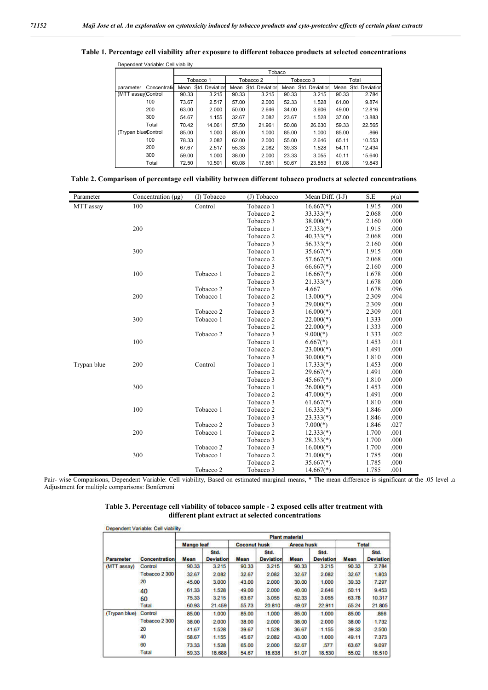#### **Table 1. Percentage cell viability after exposure to different tobacco products at selected concentrations**

| Dependent Variable: Cell viability |       |                 |       |                 |       |                 |       |                 |  |
|------------------------------------|-------|-----------------|-------|-----------------|-------|-----------------|-------|-----------------|--|
|                                    |       | Tobaco          |       |                 |       |                 |       |                 |  |
|                                    |       | Tobacco 1       |       | Tobacco 2       |       | Tobacco 3       |       | Total           |  |
| Concentratid<br>parameter          | Mean  | \$td. Deviation | Mean  | \$td. Deviation | Mean  | \$td. Deviation | Mean  | \$td. Deviation |  |
| (MTT assay)Control                 | 90.33 | 3.215           | 90.33 | 3.215           | 90.33 | 3.215           | 90.33 | 2.784           |  |
| 100                                | 73.67 | 2.517           | 57.00 | 2.000           | 52.33 | 1.528           | 61.00 | 9.874           |  |
| 200                                | 63.00 | 2.000           | 50.00 | 2.646           | 34.00 | 3.606           | 49.00 | 12.816          |  |
| 300                                | 54.67 | 1.155           | 32.67 | 2.082           | 23.67 | 1.528           | 37.00 | 13.883          |  |
| Total                              | 70.42 | 14.061          | 57.50 | 21.961          | 50.08 | 26.630          | 59.33 | 22.565          |  |
| (Trypan blueControl                | 85.00 | 1.000           | 85.00 | 1.000           | 85.00 | 1.000           | 85.00 | .866            |  |
| 100                                | 78.33 | 2.082           | 62.00 | 2.000           | 55.00 | 2.646           | 65.11 | 10.553          |  |
| 200                                | 67.67 | 2.517           | 55.33 | 2.082           | 39.33 | 1.528           | 54.11 | 12.434          |  |
| 300                                | 59.00 | 1.000           | 38.00 | 2.000           | 23.33 | 3.055           | 40.11 | 15.640          |  |
| Total                              | 72.50 | 10.501          | 60.08 | 17.661          | 50.67 | 23.853          | 61.08 | 19.843          |  |

|  |  |  |  |  |  | Table 2. Comparison of percentage cell viability between different tobacco products at selected concentrations |
|--|--|--|--|--|--|----------------------------------------------------------------------------------------------------------------|
|--|--|--|--|--|--|----------------------------------------------------------------------------------------------------------------|

| Parameter   | Concentration $(\mu g)$ | (I) Tobacco          | (J) Tobacco          | Mean Diff. (I-J)        | S.E   | p(a) |
|-------------|-------------------------|----------------------|----------------------|-------------------------|-------|------|
| MTT assay   | 100                     | Control              | Tobacco 1            | $16.667$ <sup>*</sup> ) | 1.915 | .000 |
|             |                         |                      | Tobacco <sub>2</sub> | $33.333(*)$             | 2.068 | .000 |
|             |                         |                      | Tobacco 3            | $38.000(*)$             | 2.160 | .000 |
|             | 200                     |                      | Tobacco 1            | $27.333(*)$             | 1.915 | .000 |
|             |                         |                      | Tobacco <sub>2</sub> | $40.333(*)$             | 2.068 | .000 |
|             |                         |                      | Tobacco 3            | $56.333(*)$             | 2.160 | .000 |
|             | 300                     |                      | Tobacco 1            | $35.667$ <sup>(*)</sup> | 1.915 | .000 |
|             |                         |                      | Tobacco <sub>2</sub> | $57.667$ <sup>*</sup> ) | 2.068 | .000 |
|             |                         |                      | Tobacco 3            | $66.667$ <sup>*</sup> ) | 2.160 | .000 |
|             | 100                     | Tobacco 1            | Tobacco <sub>2</sub> | $16.667$ <sup>*</sup> ) | 1.678 | .000 |
|             |                         |                      | Tobacco 3            | $21.333(*)$             | 1.678 | .000 |
|             |                         | Tobacco 2            | Tobacco 3            | 4.667                   | 1.678 | .096 |
|             | 200                     | Tobacco 1            | Tobacco <sub>2</sub> | $13.000(*)$             | 2.309 | .004 |
|             |                         |                      | Tobacco 3            | $29.000(*)$             | 2.309 | .000 |
|             |                         | Tobacco 2            | Tobacco 3            | $16.000(*)$             | 2.309 | .001 |
|             | 300                     | Tobacco 1            | Tobacco <sub>2</sub> | $22.000(*)$             | 1.333 | .000 |
|             |                         |                      | Tobacco <sub>2</sub> | $22.000(*)$             | 1.333 | .000 |
|             |                         | Tobacco <sub>2</sub> | Tobacco 3            | $9.000(*)$              | 1.333 | .002 |
|             | 100                     |                      | Tobacco 1            | $6.667$ <sup>*</sup> )  | 1.453 | .011 |
|             |                         |                      | Tobacco <sub>2</sub> | $23.000(*)$             | 1.491 | .000 |
|             |                         |                      | Tobacco 3            | $30.000(*)$             | 1.810 | .000 |
| Trypan blue | 200                     | Control              | Tobacco 1            | $17.333(*)$             | 1.453 | .000 |
|             |                         |                      | Tobacco <sub>2</sub> | $29.667$ <sup>*</sup> ) | 1.491 | .000 |
|             |                         |                      | Tobacco 3            | $45.667$ <sup>*</sup> ) | 1.810 | .000 |
|             | 300                     |                      | Tobacco 1            | $26.000(*)$             | 1.453 | .000 |
|             |                         |                      | Tobacco <sub>2</sub> | $47.000(*)$             | 1.491 | .000 |
|             |                         |                      | Tobacco 3            | $61.667$ <sup>*</sup> ) | 1.810 | .000 |
|             | 100                     | Tobacco 1            | Tobacco <sub>2</sub> | $16.333(*)$             | 1.846 | .000 |
|             |                         |                      | Tobacco 3            | $23.333(*)$             | 1.846 | .000 |
|             |                         | Tobacco <sub>2</sub> | Tobacco 3            | $7.000(*)$              | 1.846 | .027 |
|             | 200                     | Tobacco 1            | Tobacco <sub>2</sub> | $12.333(*)$             | 1.700 | .001 |
|             |                         |                      | Tobacco 3            | $28.333(*)$             | 1.700 | .000 |
|             |                         | Tobacco <sub>2</sub> | Tobacco 3            | $16.000(*)$             | 1.700 | .000 |
|             | 300                     | Tobacco 1            | Tobacco <sub>2</sub> | $21.000(*)$             | 1.785 | .000 |
|             |                         |                      | Tobacco <sub>2</sub> | $35.667(*)$             | 1.785 | .000 |
|             |                         | Tobacco 2            | Tobacco 3            | $14.667$ <sup>*</sup> ) | 1.785 | .001 |

Pair- wise Comparisons, Dependent Variable: Cell viability, Based on estimated marginal means, \* The mean difference is significant at the .05 level .a Adjustment for multiple comparisons: Bonferroni

| Table 3. Percentage cell viability of tobacco sample - 2 exposed cells after treatment with |
|---------------------------------------------------------------------------------------------|
| different plant extract at selected concentrations                                          |

|               |                      | <b>Plant material</b> |                          |                     |                          |                   |                          |              |                          |  |  |
|---------------|----------------------|-----------------------|--------------------------|---------------------|--------------------------|-------------------|--------------------------|--------------|--------------------------|--|--|
|               |                      | <b>Mango leaf</b>     |                          | <b>Coconut husk</b> |                          | <b>Areca husk</b> |                          | <b>Total</b> |                          |  |  |
| Parameter     | <b>Concentration</b> | Mean                  | Std.<br><b>Deviation</b> | Mean                | Std.<br><b>Deviation</b> | Mean              | Std.<br><b>Deviation</b> | Mean         | Std.<br><b>Deviation</b> |  |  |
| (MTT assay)   | Control              | 90.33                 | 3.215                    | 90.33               | 3.215                    | 90.33             | 3.215                    | 90.33        | 2.784                    |  |  |
|               | Tobacco 2 300        | 32.67                 | 2.082                    | 32.67               | 2.082                    | 32.67             | 2.082                    | 32.67        | 1.803                    |  |  |
|               | 20                   | 45.00                 | 3.000                    | 43.00               | 2.000                    | 30.00             | 1.000                    | 39.33        | 7.297                    |  |  |
|               | 40                   | 61.33                 | 1.528                    | 49.00               | 2,000                    | 40.00             | 2.646                    | 50.11        | 9.453                    |  |  |
|               | 60                   | 75.33                 | 3.215                    | 63.67               | 3.055                    | 52.33             | 3.055                    | 63.78        | 10.317                   |  |  |
|               | Total                | 60.93                 | 21.459                   | 55.73               | 20.810                   | 49.07             | 22.911                   | 55.24        | 21.805                   |  |  |
| (Trypan blue) | Control              | 85.00                 | 1.000                    | 85.00               | 1.000                    | 85.00             | 1.000                    | 85.00        | .866                     |  |  |
|               | Tobacco 2 300        | 38.00                 | 2,000                    | 38.00               | 2.000                    | 38.00             | 2,000                    | 38.00        | 1.732                    |  |  |
|               | 20                   | 41.67                 | 1.528                    | 39.67               | 1.528                    | 36.67             | 1.155                    | 39.33        | 2.500                    |  |  |
|               | 40                   | 58.67                 | 1.155                    | 45.67               | 2.082                    | 43.00             | 1.000                    | 49.11        | 7.373                    |  |  |
|               | 60                   | 73.33                 | 1.528                    | 65.00               | 2.000                    | 52.67             | 577                      | 63.67        | 9.097                    |  |  |
|               | Total                | 59.33                 | 18.688                   | 54.67               | 18.638                   | 51.07             | 18.530                   | 55.02        | 18.510                   |  |  |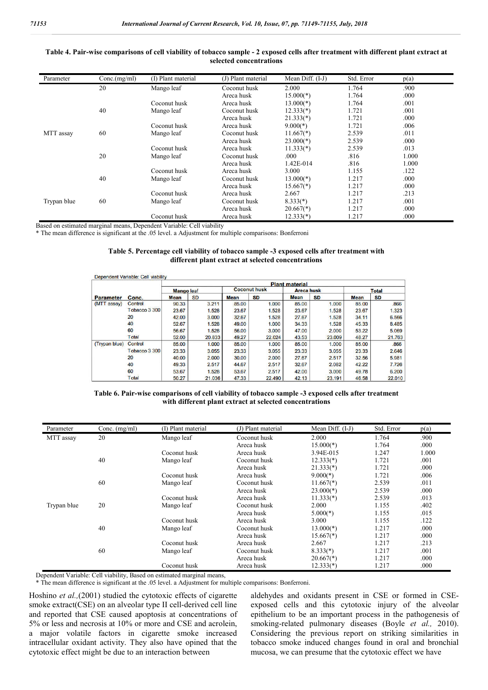#### **Table 4. Pair-wise comparisons of cell viability of tobacco sample - 2 exposed cells after treatment with different plant extract at selected concentrations**

| Parameter   | Conc.(mg/ml) | (I) Plant material | (J) Plant material | Mean Diff. (I-J)        | Std. Error | p(a)  |
|-------------|--------------|--------------------|--------------------|-------------------------|------------|-------|
|             | 20           | Mango leaf         | Coconut husk       | 2.000                   | 1.764      | .900  |
|             |              |                    | Areca husk         | $15.000(*)$             | 1.764      | .000  |
|             |              | Coconut husk       | Areca husk         | $13.000(*)$             | 1.764      | .001  |
|             | 40           | Mango leaf         | Coconut husk       | $12.333(*)$             | 1.721      | .001  |
|             |              |                    | Areca husk         | $21.333(*)$             | 1.721      | .000  |
|             |              | Coconut husk       | Areca husk         | $9.000(*)$              | 1.721      | .006  |
| MTT assay   | 60           | Mango leaf         | Coconut husk       | $11.667$ <sup>*</sup> ) | 2.539      | .011  |
|             |              |                    | Areca husk         | $23.000(*)$             | 2.539      | .000  |
|             |              | Coconut husk       | Areca husk         | $11.333(*)$             | 2.539      | .013  |
|             | 20           | Mango leaf         | Coconut husk       | .000                    | .816       | 1.000 |
|             |              |                    | Areca husk         | 1.42E-014               | .816       | 1.000 |
|             |              | Coconut husk       | Areca husk         | 3.000                   | 1.155      | .122  |
|             | 40           | Mango leaf         | Coconut husk       | $13.000(*)$             | 1.217      | .000  |
|             |              |                    | Areca husk         | $15.667(*)$             | 1.217      | .000  |
|             |              | Coconut husk       | Areca husk         | 2.667                   | 1.217      | .213  |
| Trypan blue | 60           | Mango leaf         | Coconut husk       | $8.333(*)$              | 1.217      | .001  |
|             |              |                    | Areca husk         | $20.667$ <sup>*</sup> ) | 1.217      | .000  |
|             |              | Coconut husk       | Areca husk         | $12.333(*)$             | 1.217      | .000  |

Based on estimated marginal means, Dependent Variable: Cell viability

\* The mean difference is significant at the .05 level. a Adjustment for multiple comparisons: Bonferroni

#### **Table 5. Percentage cell viability of tobacco sample -3 exposed cells after treatment with different plant extract at selected concentrations**

|                  |                | <b>Plant material</b> |           |                     |           |                   |           |              |           |  |
|------------------|----------------|-----------------------|-----------|---------------------|-----------|-------------------|-----------|--------------|-----------|--|
|                  |                | <b>Mango leaf</b>     |           | <b>Coconut husk</b> |           | <b>Areca husk</b> |           | <b>Total</b> |           |  |
| <b>Parameter</b> | Conc.          | <b>Mean</b>           | <b>SD</b> | <b>Mean</b>         | <b>SD</b> | <b>Mean</b>       | <b>SD</b> | <b>Mean</b>  | <b>SD</b> |  |
| (MTT assay)      | Control        | 90.33                 | 3.211     | 85.00               | 1.000     | 85.00             | 1.000     | 85.00        | .866      |  |
|                  | Tobacco 3 300  | 23.67                 | 1.528     | 23.67               | 1.528     | 23.67             | 1.528     | 23.67        | 1.323     |  |
|                  | 20             | 42.00                 | 3.000     | 32.67               | 1.528     | 27.67             | 1.528     | 34.11        | 6.566     |  |
|                  | 40             | 52.67                 | 1.528     | 49.00               | 1.000     | 34.33             | 1.528     | 45.33        | 8.485     |  |
|                  | 60             | 56.67                 | 1.528     | 56.00               | 3.000     | 47.00             | 2,000     | 53.22        | 5.069     |  |
|                  | Total          | 52.00                 | 20.833    | 49.27               | 22.024    | 43.53             | 23.009    | 48.27        | 21.763    |  |
| (Trypan blue)    | <b>Control</b> | 85.00                 | 1.000     | 85.00               | 1.000     | 85.00             | 1.000     | 85.00        | .866      |  |
|                  | Tobacco 3 300  | 23.33                 | 3.055     | 23.33               | 3.055     | 23.33             | 3.055     | 23.33        | 2.646     |  |
|                  | 20             | 40.00                 | 2,000     | 30.00               | 2.000     | 27.67             | 2.517     | 32.56        | 5.981     |  |
|                  | 40             | 49.33                 | 2.517     | 44.67               | 2.517     | 32.67             | 2.082     | 42.22        | 7.726     |  |
|                  | 60             | 53.67                 | 1.528     | 53.67               | 2.517     | 42.00             | 3.000     | 49.78        | 6.200     |  |
|                  | Total          | 50.27                 | 21.036    | 47.33               | 22.490    | 42.13             | 23.191    | 46.58        | 22.010    |  |

| Table 6. Pair-wise comparisons of cell viability of tobacco sample -3 exposed cells after treatment |
|-----------------------------------------------------------------------------------------------------|
| with different plant extract at selected concentrations                                             |

| Parameter   | Conc. $(mg/ml)$ | (I) Plant material | (J) Plant material | Mean Diff. $(I-J)$      | Std. Error | p(a)  |
|-------------|-----------------|--------------------|--------------------|-------------------------|------------|-------|
| MTT assay   | 20              | Mango leaf         | Coconut husk       | 2.000                   | 1.764      | .900  |
|             |                 |                    | Areca husk         | $15.000(*)$             | 1.764      | .000  |
|             |                 | Coconut husk       | Areca husk         | 3.94E-015               | 1.247      | 1.000 |
|             | 40              | Mango leaf         | Coconut husk       | $12.333(*)$             | 1.721      | .001  |
|             |                 |                    | Areca husk         | $21.333(*)$             | 1.721      | .000  |
|             |                 | Coconut husk       | Areca husk         | $9.000(*)$              | 1.721      | .006  |
|             | 60              | Mango leaf         | Coconut husk       | $11.667(*)$             | 2.539      | .011  |
|             |                 |                    | Areca husk         | $23.000(*)$             | 2.539      | .000  |
|             |                 | Coconut husk       | Areca husk         | $11.333(*)$             | 2.539      | .013  |
| Trypan blue | 20              | Mango leaf         | Coconut husk       | 2.000                   | 1.155      | .402  |
|             |                 |                    | Areca husk         | $5.000(*)$              | 1.155      | .015  |
|             |                 | Coconut husk       | Areca husk         | 3.000                   | 1.155      | .122  |
|             | 40              | Mango leaf         | Coconut husk       | $13.000(*)$             | 1.217      | .000  |
|             |                 |                    | Areca husk         | $15.667(*)$             | 1.217      | .000  |
|             |                 | Coconut husk       | Areca husk         | 2.667                   | 1.217      | .213  |
|             | 60              | Mango leaf         | Coconut husk       | $8.333(*)$              | 1.217      | .001  |
|             |                 |                    | Areca husk         | $20.667$ <sup>*</sup> ) | 1.217      | .000  |
|             |                 | Coconut husk       | Areca husk         | $12.333(*)$             | 1.217      | .000  |

Dependent Variable: Cell viability, Based on estimated marginal means,

\* The mean difference is significant at the .05 level. a Adjustment for multiple comparisons: Bonferroni.

Hoshino *et al.,*(2001) studied the cytotoxic effects of cigarette smoke extract(CSE) on an alveolar type II cell-derived cell line and reported that CSE caused apoptosis at concentrations of 5% or less and necrosis at 10% or more and CSE and acrolein, a major volatile factors in cigarette smoke increased intracellular oxidant activity. They also have opined that the cytotoxic effect might be due to an interaction between

aldehydes and oxidants present in CSE or formed in CSEexposed cells and this cytotoxic injury of the alveolar epithelium to be an important process in the pathogenesis of smoking-related pulmonary diseases (Boyle *et al.,* 2010). Considering the previous report on striking similarities in tobacco smoke induced changes found in oral and bronchial mucosa, we can presume that the cytotoxic effect we have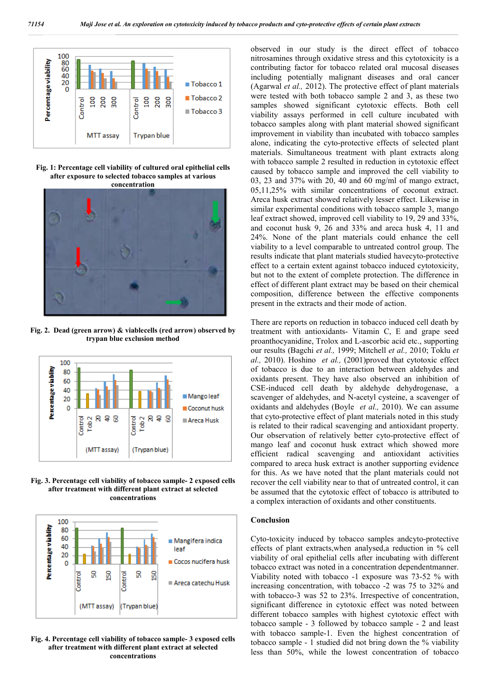

**Fig. 1: Percentage cell viability of cultured oral epithelial cells after exposure to selected tobacco samples at various concentration**



**Fig. 2. Dead (green arrow) & viablecells (red arrow) observed by trypan blue exclusion method**



**Fig. 3. Percentage cell viability of tobacco sample- 2 exposed cells after treatment with different plant extract at selected concentrations**



**Fig. 4. Percentage cell viability of tobacco sample- 3 exposed cells after treatment with different plant extract at selected concentrations**

observed in our study is the direct effect of tobacco nitrosamines through oxidative stress and this cytotoxicity is a contributing factor for tobacco related oral mucosal diseases including potentially malignant diseases and oral cancer (Agarwal *et al.,* 2012). The protective effect of plant materials were tested with both tobacco sample 2 and 3, as these two samples showed significant cytotoxic effects. Both cell viability assays performed in cell culture incubated with tobacco samples along with plant material showed significant improvement in viability than incubated with tobacco samples alone, indicating the cyto-protective effects of selected plant materials. Simultaneous treatment with plant extracts along with tobacco sample 2 resulted in reduction in cytotoxic effect caused by tobacco sample and improved the cell viability to 03, 23 and 37% with 20, 40 and 60 mg/ml of mango extract, 05,11,25% with similar concentrations of coconut extract. Areca husk extract showed relatively lesser effect. Likewise in similar experimental conditions with tobacco sample 3, mango leaf extract showed, improved cell viability to 19, 29 and 33%, and coconut husk 9, 26 and 33% and areca husk 4, 11 and 24%. None of the plant materials could enhance the cell viability to a level comparable to untreated control group. The results indicate that plant materials studied havecyto-protective effect to a certain extent against tobacco induced cytotoxicity, but not to the extent of complete protection. The difference in effect of different plant extract may be based on their chemical composition, difference between the effective components present in the extracts and their mode of action.

There are reports on reduction in tobacco induced cell death by treatment with antioxidants- Vitamin C, E and grape seed proanthocyanidine, Trolox and L-ascorbic acid etc., supporting our results (Bagchi *et al.,* 1999; Mitchell *et al.,* 2010; Toklu *et al.,* 2010). Hoshino *et al.,* (2001)proved that cytotoxic effect of tobacco is due to an interaction between aldehydes and oxidants present. They have also observed an inhibition of CSE-induced cell death by aldehyde dehydrogenase, a scavenger of aldehydes, and N-acetyl cysteine, a scavenger of oxidants and aldehydes (Boyle *et al.,* 2010). We can assume that cyto-protective effect of plant materials noted in this study is related to their radical scavenging and antioxidant property. Our observation of relatively better cyto-protective effect of mango leaf and coconut husk extract which showed more efficient radical scavenging and antioxidant activities compared to areca husk extract is another supporting evidence for this. As we have noted that the plant materials could not recover the cell viability near to that of untreated control, it can be assumed that the cytotoxic effect of tobacco is attributed to a complex interaction of oxidants and other constituents.

#### **Conclusion**

Cyto-toxicity induced by tobacco samples andcyto-protective effects of plant extracts,when analysed,a reduction in % cell viability of oral epithelial cells after incubating with different tobacco extract was noted in a concentration dependentmanner. Viability noted with tobacco -1 exposure was 73-52 % with increasing concentration, with tobacco -2 was 75 to 32% and with tobacco-3 was 52 to 23%. Irrespective of concentration, significant difference in cytotoxic effect was noted between different tobacco samples with highest cytotoxic effect with tobacco sample - 3 followed by tobacco sample - 2 and least with tobacco sample-1. Even the highest concentration of tobacco sample - 1 studied did not bring down the % viability less than 50%, while the lowest concentration of tobacco